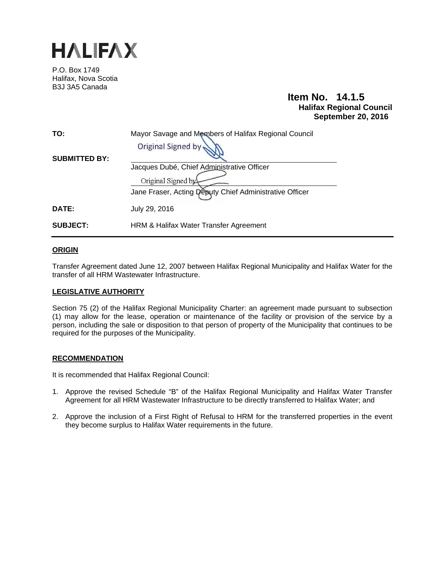

P.O. Box 1749 Halifax, Nova Scotia B3J 3A5 Canada

### **Item No. 14.1.5 Halifax Regional Council September 20, 2016**

| TO:                  | Mayor Savage and Members of Halifax Regional Council<br>Original Signed by |
|----------------------|----------------------------------------------------------------------------|
| <b>SUBMITTED BY:</b> | Jacques Dubé, Chief Administrative Officer<br>Original Signed by           |
| <b>DATE:</b>         | Jane Fraser, Acting Deputy Chief Administrative Officer<br>July 29, 2016   |
| <b>SUBJECT:</b>      | HRM & Halifax Water Transfer Agreement                                     |

#### **ORIGIN**

Transfer Agreement dated June 12, 2007 between Halifax Regional Municipality and Halifax Water for the transfer of all HRM Wastewater Infrastructure.

#### **LEGISLATIVE AUTHORITY**

Section 75 (2) of the Halifax Regional Municipality Charter: an agreement made pursuant to subsection (1) may allow for the lease, operation or maintenance of the facility or provision of the service by a person, including the sale or disposition to that person of property of the Municipality that continues to be required for the purposes of the Municipality.

#### **RECOMMENDATION**

It is recommended that Halifax Regional Council:

- 1. Approve the revised Schedule "B" of the Halifax Regional Municipality and Halifax Water Transfer Agreement for all HRM Wastewater Infrastructure to be directly transferred to Halifax Water; and
- 2. Approve the inclusion of a First Right of Refusal to HRM for the transferred properties in the event they become surplus to Halifax Water requirements in the future.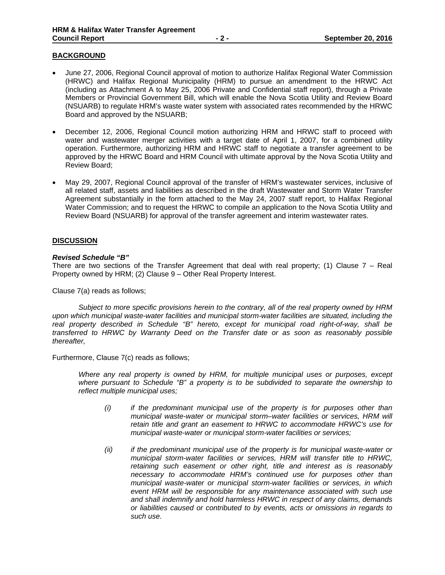#### **BACKGROUND**

- June 27, 2006, Regional Council approval of motion to authorize Halifax Regional Water Commission (HRWC) and Halifax Regional Municipality (HRM) to pursue an amendment to the HRWC Act (including as Attachment A to May 25, 2006 Private and Confidential staff report), through a Private Members or Provincial Government Bill, which will enable the Nova Scotia Utility and Review Board (NSUARB) to regulate HRM's waste water system with associated rates recommended by the HRWC Board and approved by the NSUARB;
- December 12, 2006, Regional Council motion authorizing HRM and HRWC staff to proceed with water and wastewater merger activities with a target date of April 1, 2007, for a combined utility operation. Furthermore, authorizing HRM and HRWC staff to negotiate a transfer agreement to be approved by the HRWC Board and HRM Council with ultimate approval by the Nova Scotia Utility and Review Board;
- May 29, 2007, Regional Council approval of the transfer of HRM's wastewater services, inclusive of all related staff, assets and liabilities as described in the draft Wastewater and Storm Water Transfer Agreement substantially in the form attached to the May 24, 2007 staff report, to Halifax Regional Water Commission; and to request the HRWC to compile an application to the Nova Scotia Utility and Review Board (NSUARB) for approval of the transfer agreement and interim wastewater rates.

#### **DISCUSSION**

#### *Revised Schedule "B"*

There are two sections of the Transfer Agreement that deal with real property; (1) Clause  $7 -$  Real Property owned by HRM; (2) Clause 9 – Other Real Property Interest.

Clause 7(a) reads as follows;

*Subject to more specific provisions herein to the contrary, all of the real property owned by HRM upon which municipal waste-water facilities and municipal storm-water facilities are situated, including the real property described in Schedule "B" hereto, except for municipal road right-of-way, shall be transferred to HRWC by Warranty Deed on the Transfer date or as soon as reasonably possible thereafter,* 

Furthermore, Clause 7(c) reads as follows;

*Where any real property is owned by HRM, for multiple municipal uses or purposes, except where pursuant to Schedule "B" a property is to be subdivided to separate the ownership to reflect multiple municipal uses;* 

- *(i) if the predominant municipal use of the property is for purposes other than municipal waste-water or municipal storm–water facilities or services, HRM will retain title and grant an easement to HRWC to accommodate HRWC's use for municipal waste-water or municipal storm-water facilities or services;*
- *(ii) if the predominant municipal use of the property is for municipal waste-water or municipal storm-water facilities or services, HRM will transfer title to HRWC, retaining such easement or other right, title and interest as is reasonably necessary to accommodate HRM's continued use for purposes other than municipal waste-water or municipal storm-water facilities or services, in which event HRM will be responsible for any maintenance associated with such use and shall indemnify and hold harmless HRWC in respect of any claims, demands or liabilities caused or contributed to by events, acts or omissions in regards to such use.*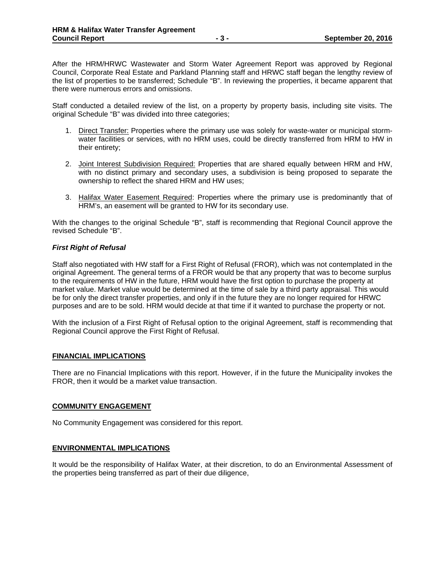After the HRM/HRWC Wastewater and Storm Water Agreement Report was approved by Regional Council, Corporate Real Estate and Parkland Planning staff and HRWC staff began the lengthy review of the list of properties to be transferred; Schedule "B". In reviewing the properties, it became apparent that there were numerous errors and omissions.

Staff conducted a detailed review of the list, on a property by property basis, including site visits. The original Schedule "B" was divided into three categories;

- 1. Direct Transfer: Properties where the primary use was solely for waste-water or municipal stormwater facilities or services, with no HRM uses, could be directly transferred from HRM to HW in their entirety;
- 2. Joint Interest Subdivision Required: Properties that are shared equally between HRM and HW, with no distinct primary and secondary uses, a subdivision is being proposed to separate the ownership to reflect the shared HRM and HW uses;
- 3. Halifax Water Easement Required: Properties where the primary use is predominantly that of HRM's, an easement will be granted to HW for its secondary use.

With the changes to the original Schedule "B", staff is recommending that Regional Council approve the revised Schedule "B".

#### *First Right of Refusal*

Staff also negotiated with HW staff for a First Right of Refusal (FROR), which was not contemplated in the original Agreement. The general terms of a FROR would be that any property that was to become surplus to the requirements of HW in the future, HRM would have the first option to purchase the property at market value. Market value would be determined at the time of sale by a third party appraisal. This would be for only the direct transfer properties, and only if in the future they are no longer required for HRWC purposes and are to be sold. HRM would decide at that time if it wanted to purchase the property or not.

With the inclusion of a First Right of Refusal option to the original Agreement, staff is recommending that Regional Council approve the First Right of Refusal.

#### **FINANCIAL IMPLICATIONS**

There are no Financial Implications with this report. However, if in the future the Municipality invokes the FROR, then it would be a market value transaction.

#### **COMMUNITY ENGAGEMENT**

No Community Engagement was considered for this report.

#### **ENVIRONMENTAL IMPLICATIONS**

It would be the responsibility of Halifax Water, at their discretion, to do an Environmental Assessment of the properties being transferred as part of their due diligence,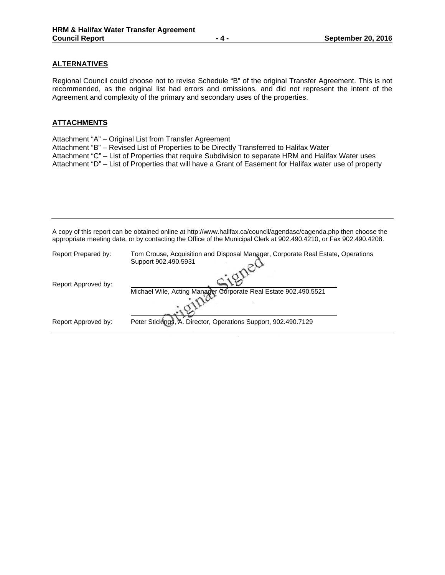### **ALTERNATIVES**

Regional Council could choose not to revise Schedule "B" of the original Transfer Agreement. This is not recommended, as the original list had errors and omissions, and did not represent the intent of the Agreement and complexity of the primary and secondary uses of the properties.

#### **ATTACHMENTS**

- Attachment "A" Original List from Transfer Agreement
- Attachment "B" Revised List of Properties to be Directly Transferred to Halifax Water

Attachment "C" – List of Properties that require Subdivision to separate HRM and Halifax Water uses

Attachment "D" – List of Properties that will have a Grant of Easement for Halifax water use of property

A copy of this report can be obtained online at http://www.halifax.ca/council/agendasc/cagenda.php then choose the appropriate meeting date, or by contacting the Office of the Municipal Clerk at 902.490.4210, or Fax 902.490.4208.

| Report Prepared by: | Tom Crouse, Acquisition and Disposal Manager, Corporate Real Estate, Operations<br>Support 902.490.5931 |
|---------------------|---------------------------------------------------------------------------------------------------------|
| Report Approved by: |                                                                                                         |
|                     | Michael Wile, Acting Manager Corporate Real Estate 902.490.5521                                         |
| Report Approved by: | Peter Stickings, A. Director, Operations Support, 902.490.7129                                          |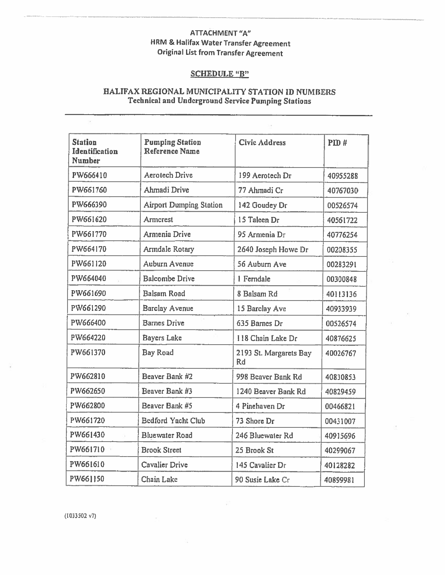### **ATTACHMENT "A" HRM & Halifax Water Transfer Agreement Original List from Transfer Agreement**

### **SCHEDULE "B"**

### HALIFAX REGIONAL MUNICIPALITY STATION ID NUMBERS **Technical and Underground Service Pumping Stations**

| <b>Station</b><br><b>Identification</b><br><b>Number</b> | <b>Pumping Station</b><br>Reference Name | <b>Civic Address</b>         | PID#     |
|----------------------------------------------------------|------------------------------------------|------------------------------|----------|
| PW666410                                                 | <b>Aerotech Drive</b>                    | 199 Aerotech Dr              | 40955288 |
| PW661760                                                 | Ahmadi Drive                             | 77 Ahmadi Cr                 | 40767030 |
| PW666390                                                 | <b>Airport Dumping Station</b>           | 142 Goudey Dr                | 00526574 |
| PW661620                                                 | Armerest                                 | 15 Taleen Dr                 | 40561722 |
| PW661770                                                 | <b>Armenia Drive</b>                     | 95 Armenia Dr                | 40776254 |
| PW664170                                                 | Armdale Rotary                           | 2640 Joseph Howe Dr          | 00208355 |
| PW661120                                                 | <b>Auburn Avenue</b>                     | 56 Auburn Ave                | 00283291 |
| PW664040                                                 | <b>Balcombe Drive</b>                    | 1 Ferndale                   | 00300848 |
| PW661690                                                 | <b>Balsam Road</b>                       | 8 Balsam Rd                  | 40113136 |
| PW661290                                                 | <b>Barclay Avenue</b>                    | 15 Barclay Ave               | 40933939 |
| PW666400                                                 | <b>Barnes Drive</b>                      | 635 Barnes Dr                | 00526574 |
| PW664220                                                 | <b>Bayers Lake</b>                       | 118 Chain Lake Dr            | 40876625 |
| PW661370                                                 | <b>Bay Road</b>                          | 2193 St. Margarets Bay<br>Rd | 40026767 |
| PW662810                                                 | Beaver Bank #2                           | 998 Beaver Bank Rd           | 40830853 |
| PW662650                                                 | Beaver Bank #3                           | 1240 Beaver Bank Rd          | 40829459 |
| PW662800                                                 | Beaver Bank #5                           | 4 Pinehaven Dr               | 00466821 |
| PW661720                                                 | <b>Bedford Yacht Club</b>                | 73 Shore Dr                  | 00431007 |
| PW661430                                                 | <b>Bluewater Road</b>                    | 246 Bluewater Rd             | 40915696 |
| PW661710                                                 | <b>Brook Street</b>                      | 25 Brook St                  | 40299067 |
| PW661610                                                 | <b>Cavalier Drive</b>                    | 145 Cavalier Dr              | 40128282 |
| PW661150                                                 | Chain Lake                               | 90 Susie Lake Cr             | 40899981 |

 $(1033502 v7)$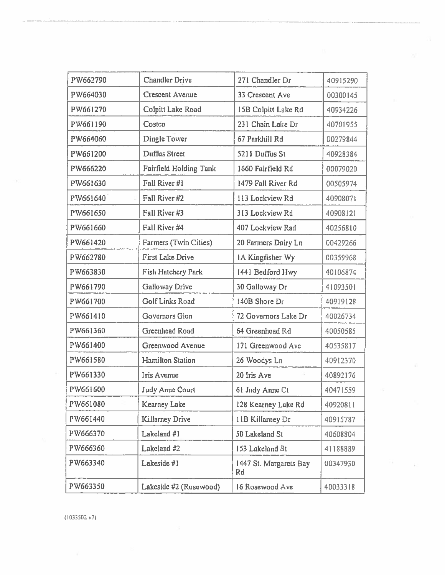| PW662790 | Chandler Drive                | 271 Chandler Dr              | 40915290 |
|----------|-------------------------------|------------------------------|----------|
| PW664030 | <b>Crescent Avenue</b>        | 33 Crescent Ave              | 00300145 |
| PW661270 | Colpitt Lake Road             | 15B Colpitt Lake Rd          | 40934226 |
| PW661190 | Costco                        | 231 Chain Lake Dr            | 40701955 |
| PW664060 | <b>Dingle Tower</b>           | 67 Parkhill Rd               | 00279844 |
| PW661200 | <b>Duffus Street</b>          | 5211 Duffus St               | 40928384 |
| PW666220 | <b>Fairfield Holding Tank</b> | 1660 Fairfield Rd            | 00079020 |
| PW661630 | Fall River #1                 | 1479 Fall River Rd           | 00505974 |
| PW661640 | Fall River #2                 | 113 Lockview Rd              | 40908071 |
| PW661650 | Fall River #3                 | 313 Lockview Rd              | 40908121 |
| PW661660 | Fall River #4                 | 407 Lockview Rad             | 40256810 |
| PW661420 | Farmers (Twin Cities)         | 20 Farmers Dairy Ln          | 00429266 |
| PW662780 | <b>First Lake Drive</b>       | IA Kingfisher Wy             | 00359968 |
| PW663830 | Fish Hatchery Park            | 1441 Bedford Hwy             | 40106874 |
| PW661790 | <b>Galloway Drive</b>         | 30 Galloway Dr               | 41093501 |
| PW661700 | <b>Golf Links Road</b>        | 140B Shore Dr                | 40919128 |
| PW661410 | Governors Glen                | 72 Governors Lake Dr         | 40026734 |
| PW661360 | Greenhead Road                | 64 Greenhead Rd              | 40050585 |
| PW661400 | Greenwood Avenue              | 171 Greenwood Ave            | 40535817 |
| PW661580 | <b>Hamilton Station</b>       | 26 Woodys Ln                 | 40912370 |
| PW661330 | Iris Avenue                   | 20 Iris Ave                  | 40892176 |
| PW661600 | <b>Judy Anne Court</b>        | 61 Judy Anne Ct              | 40471559 |
| PW661080 | <b>Kearney Lake</b>           | 128 Kearney Lake Rd          | 40920811 |
| PW661440 | <b>Killarney Drive</b>        | 11B Killarney Dr             | 40915787 |
| PW666370 | Lakeland #1                   | 50 Lakeland St               | 40608804 |
| PW666360 | Lakeland #2                   | 153 Lakeland St              | 41188889 |
| PW663340 | Lakeside #1                   | 1447 St. Margarets Bay<br>Rd | 00347930 |
| PW663350 | Lakeside #2 (Rosewood)        | 16 Rosewood Ave              | 40033318 |

(1033502 v7)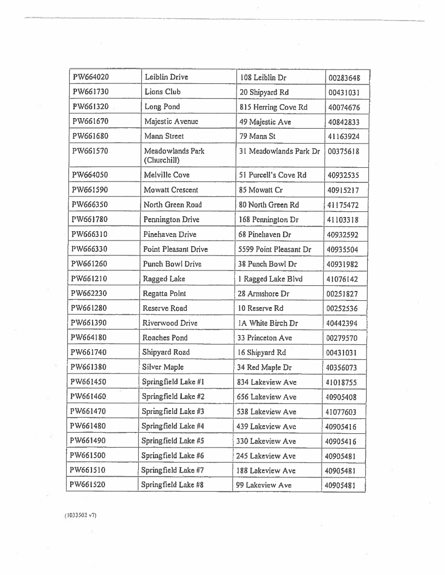| PW664020  | Leiblin Drive                   | 108 Leiblin Dr         | 00283648 |
|-----------|---------------------------------|------------------------|----------|
| PW661730  | Lions Club                      | 20 Shipyard Rd         | 00431031 |
| PW661320  | Long Pond                       | 815 Herring Cove Rd    | 40074676 |
| PW661670  | Majestic Avenue                 | 49 Majestic Ave        | 40842833 |
| PW661680  | Mann Street                     | 79 Mann St             | 41163924 |
| PW661570  | Meadowlands Park<br>(Churchill) | 31 Meadowlands Park Dr | 00375618 |
| PW664050  | Melville Cove                   | 51 Purcell's Cove Rd   | 40932535 |
| PW661590  | Mowatt Crescent                 | 85 Mowatt Cr           | 40915217 |
| PW666350  | North Green Road                | 80 North Green Rd      | 41175472 |
| PW661780  | <b>Pennington Drive</b>         | 168 Pennington Dr      | 41103318 |
| PW666310  | Pinehaven Drive                 | 68 Pinehaven Dr        | 40932592 |
| PW666330  | Point Pleasant Drive            | 5599 Point Pleasant Dr | 40935504 |
| PW661260  | <b>Punch Bowl Drive</b>         | 38 Punch Bowl Dr       | 40931982 |
| PW661210  | <b>Ragged Lake</b>              | 1 Ragged Lake Blvd     | 41076142 |
| PW662230  | Regatta Point                   | 28 Armshore Dr         | 00251827 |
| PW661280  | Reserve Road                    | 10 Reserve Rd          | 00252536 |
| PW661390  | Riverwood Drive                 | IA White Birch Dr      | 40442394 |
| PW664180  | Roaches Pond                    | 33 Princeton Ave       | 00279570 |
| PW661740  | Shipyard Road                   | 16 Shipyard Rd         | 00431031 |
| PW661380  | Silver Maple                    | 34 Red Maple Dr        | 40356073 |
| PW661450  | Springfield Lake #1             | 834 Lakeview Ave       | 41018755 |
| PW661460. | Springfield Lake #2             | 656 Lakeview Ave       | 40905408 |
| PW661470  | Springfield Lake #3             | 538 Lakeview Ave       | 41077603 |
| PW661480  | Springfield Lake #4             | 439 Lakeview Ave       | 40905416 |
| PW661490  | Springfield Lake #5             | 330 Lakeview Ave       | 40905416 |
| PW661500  | Springfield Lake #6             | 245 Lakeview Ave       | 40905481 |
| PW661510  | Springfield Lake #7             | 188 Lakeview Ave       | 40905481 |
| PW661520  | Springfield Lake #8             | 99 Lakeview Ave        | 40905481 |

ί¢.

 $\sim$ 

 $(1033502 v7)$ 

S.

 $\tilde{\chi}^{(1)}_{\gamma\gamma}$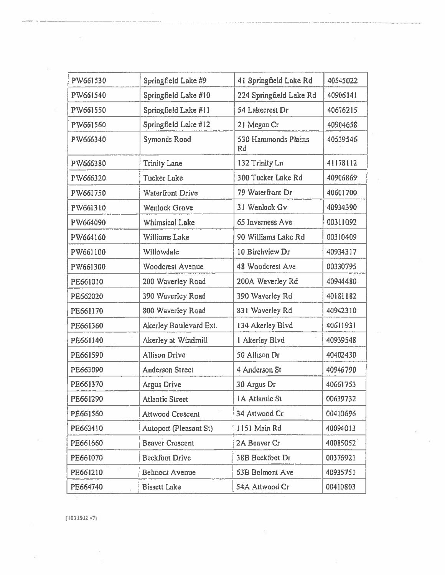| PW661530 | Springfield Lake #9     | 41 Springfield Lake Rd    | 40545022 |
|----------|-------------------------|---------------------------|----------|
| PW661540 | Springfield Lake #10    | 224 Springfield Lake Rd   | 40906141 |
| PW661550 | Springfield Lake #11    | 54 Lakecrest Dr           | 40676215 |
| PW661560 | Springfield Lake #12    | 21 Megan Cr               | 40904658 |
| PW666340 | <b>Symonds Road</b>     | 530 Hammonds Plains<br>Rd | 40539546 |
| PW666380 | <b>Trinity Lane</b>     | 132 Trinity Ln            | 41178112 |
| PW666320 | <b>Tucker Lake</b>      | 300 Tucker Lake Rd        | 40906869 |
| PW661750 | <b>Waterfront Drive</b> | 79 Waterfront Dr          | 40601700 |
| PW661310 | <b>Wenlock Grove</b>    | 31 Wenlock Gv             | 40934390 |
| PW664090 | <b>Whimsical Lake</b>   | 65 Inverness Ave          | 00311092 |
| PW664160 | Williams Lake           | 90 Williams Lake Rd       | 00310409 |
| PW661100 | Willowdale              | 10 Birchview Dr           | 40934317 |
| PW661300 | <b>Woodcrest Avenue</b> | 48 Woodcrest Ave          | 00330795 |
| PE661010 | 200 Waverley Road       | 200A Waverley Rd          | 40944480 |
| PE662020 | 390 Waverley Road       | 390 Waverley Rd           | 40181182 |
| PE661170 | 800 Waverley Road       | 831 Waverley Rd           | 40942310 |
| PE661360 | Akerley Boulevard Ext.  | 134 Akerley Blvd          | 40611931 |
| PE661140 | Akerley at Windmill     | 1 Akerley Blvd            | 40939548 |
| PE661590 | <b>Allison Drive</b>    | 50 Allison Dr             | 40402430 |
| PE663090 | <b>Anderson Street</b>  | 4 Anderson St             | 40946790 |
| PE661370 | <b>Argus Drive</b>      | 30 Argus Dr               | 40661753 |
| PE661290 | <b>Atlantic Street</b>  | <b>1A Atlantic St</b>     | 00639732 |
| PE661560 | <b>Attwood Crescent</b> | 34 Attwood Cr             | 00410696 |
| PE663410 | Autoport (Pleasant St)  | 1151 Main Rd              | 40094013 |
| PE661660 | <b>Beaver Crescent</b>  | 2A Beaver Cr              | 40085052 |
| PE661070 | Beckfoot Drive          | 38B Beckfoot Dr           | 00376921 |
| PE661210 | <b>Belmont Avenue</b>   | 63B Belmont Ave           | 40935751 |
| PE664740 | <b>Bissett Lake</b>     | 54A Attwood Cr            | 00410803 |

 $\overline{\mathbb{S}}$ 

 $(1033502 \text{ v7})$ 

ó.

ř,

 $\mathcal{B}^{\prime}_{\alpha}$ 

 $\sim$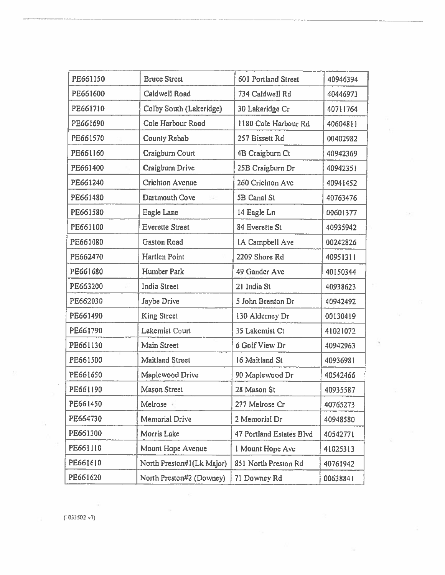| PE661150 | <b>Bruce Street</b>       | 601 Portland Street      | 40946394 |
|----------|---------------------------|--------------------------|----------|
| PE661600 | Caldwell Road             | 734 Caldwell Rd          | 40446973 |
| PE661710 | Colby South (Lakeridge)   | 30 Lakeridge Cr          | 40711764 |
| PE661690 | Cole Harbour Road         | 1180 Cole Harbour Rd     | 40604811 |
| PE661570 | County Rehab              | 257 Bissett Rd           | 00402982 |
| PE661160 | Craigburn Court           | 4B Craigburn Ct          | 40942369 |
| PE661400 | Craigburn Drive           | 25B Craigburn Dr         | 40942351 |
| PE661240 | <b>Crichton Avenue</b>    | 260 Crichton Ave         | 40941452 |
| PE661480 | Dartmouth Cove            | 5B Canal St              | 40763476 |
| PE661580 | Eagle Lane                | 14 Eagle Ln              | 00601377 |
| PE661100 | <b>Everette Street</b>    | 84 Everette St           | 40935942 |
| PE661080 | <b>Gaston Road</b>        | 1A Campbell Ave          | 00242826 |
| PE662470 | <b>Hartlen Point</b>      | 2209 Shore Rd            | 40951311 |
| PE661680 | Humber Park               | 49 Gander Ave            | 40150344 |
| PE663200 | <b>India Street</b>       | 21 India St              | 40938623 |
| PE662030 | Jaybe Drive               | 5 John Brenton Dr        | 40942492 |
| PE661490 | <b>King Street</b>        | 130 Alderney Dr          | 00130419 |
| PE661790 | Lakemist Court            | 35 Lakemist Ct           | 41021072 |
| PE661130 | <b>Main Street</b>        | 6 Golf View Dr           | 40942963 |
| PE661500 | <b>Maitland Street</b>    | 16 Maitland St           | 40936981 |
| PE661650 | Maplewood Drive           | 90 Maplewood Dr          | 40542466 |
| PE661190 | <b>Mason Street</b>       | 28 Mason St              | 40935587 |
| PE661450 | Melrose +                 | 277 Melrose Cr           | 40765273 |
| PE664730 | <b>Memorial Drive</b>     | 2 Memorial Dr            | 40948580 |
| PE661300 | Morris Lake               | 47 Portland Estates Blvd | 40542771 |
| PE661110 | Mount Hope Avenue         | 1 Mount Hope Ave         | 41025313 |
| PE661610 | North Preston#1(Lk Major) | 851 North Preston Rd     | 40761942 |
| PE661620 | North Preston#2 (Downey)  | 71 Downey Rd             | 00638841 |

 $\sim$ 

 $\cdot$ 

 $\tilde{\mathbf{x}}$ 

G

ò.

÷

 $\sim$ 

 $\ddot{\phantom{0}}$ 

i,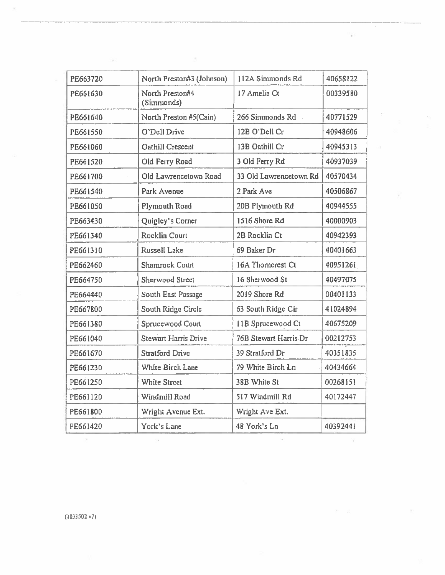| PE663720 | North Preston#3 (Johnson)     | 112A Simmonds Rd       | 40658122 |
|----------|-------------------------------|------------------------|----------|
| PE661630 | North Preston#4<br>(Simmonds) | 17 Amelia Ct           | 00339580 |
| PE661640 | North Preston #5(Cain)        | 266 Simmonds Rd        | 40771529 |
| PE661550 | O'Dell Drive                  | 12B O'Dell Cr          | 40948606 |
| PE661060 | Oathill Crescent              | 13B Oathill Cr         | 40945313 |
| PE661520 | Old Ferry Road                | 3 Old Ferry Rd         | 40937039 |
| PE661700 | Old Lawrencetown Road         | 33 Old Lawrencetown Rd | 40570434 |
| PE661540 | Park Avenue                   | 2 Park Ave             | 40506867 |
| PE661050 | Plymouth Road                 | 20B Plymouth Rd        | 40944555 |
| PE663430 | Quigley's Corner              | 1516 Shore Rd          | 40000903 |
| PE661340 | <b>Rocklin Court</b>          | 2B Rocklin Ct          | 40942393 |
| PE661310 | Russell Lake                  | 69 Baker Dr            | 40401663 |
| PE662460 | <b>Shamrock Court</b>         | 16A Thorncrest Ct      | 40951261 |
| PE664750 | <b>Sherwood Street</b>        | 16 Sherwood St         | 40497075 |
| PE664440 | <b>South East Passage</b>     | 2019 Shore Rd          | 00401133 |
| PE667800 | South Ridge Circle            | 63 South Ridge Cir     | 41024894 |
| PE661380 | Sprucewood Court              | 11B Sprucewood Ct      | 40675209 |
| PE661040 | <b>Stewart Harris Drive</b>   | 76B Stewart Harris Dr  | 00212753 |
| PE661670 | <b>Stratford Drive</b>        | 39 Stratford Dr        | 40351835 |
| PE661230 | White Birch Lane              | 79 White Birch Ln      | 40434664 |
| PE661250 | <b>White Street</b>           | 38B White St           | 00268151 |
| PE661120 | Windmill Road                 | 517 Windmill Rd        | 40172447 |
| PE661800 | Wright Avenue Ext.            | Wright Ave Ext.        |          |
| PE661420 | York's Lane                   | 48 York's Ln           | 40392441 |

 $\sim$ 

 $\mathcal{N}$ 

 $\sim$ 

 $\sim$ 

š.

 $(1033502 \text{ v7})$ 

 $\sim$ 

 $\sim 1$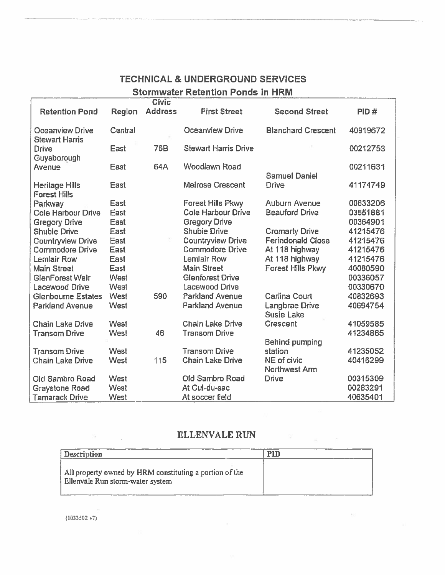# TECHNICAL & UNDERGROUND SERVICES **Stormwater Retention Ponds in HRM**

|                                              |             | <b>Civic</b>   |                             |                                            |          |
|----------------------------------------------|-------------|----------------|-----------------------------|--------------------------------------------|----------|
| <b>Retention Pond</b>                        | Region      | <b>Address</b> | <b>First Street</b>         | <b>Second Street</b>                       | PID#     |
| Oceanview Drive<br><b>Stewart Harris</b>     | Central     |                | Oceanview Drive             | <b>Blanchard Crescent</b>                  | 40919672 |
| <b>Drive</b><br>Guysborough                  | East        | <b>76B</b>     | <b>Stewart Harris Drive</b> |                                            | 00212753 |
| Avenue                                       | East        | 64A            | <b>Woodlawn Road</b>        | <b>Samuel Daniel</b>                       | 00211631 |
| <b>Heritage Hills</b><br><b>Forest Hills</b> | <b>East</b> |                | <b>Melrose Crescent</b>     | <b>Drive</b>                               | 41174749 |
| Parkway                                      | East        |                | <b>Forest Hills Pkwy</b>    | <b>Auburn Avenue</b>                       | 00633206 |
| <b>Cole Harbour Drive</b>                    | East        |                | <b>Cole Harbour Drive</b>   | <b>Beauford Drive</b>                      | 03551881 |
| <b>Gregory Drive</b>                         | East        |                | <b>Gregory Drive</b>        |                                            | 00364901 |
| <b>Shubie Drive</b>                          | East        |                | <b>Shubie Drive</b>         | <b>Cromarty Drive</b>                      | 41215476 |
| <b>Countryview Drive</b>                     | East        |                | <b>Countryview Drive</b>    | <b>Ferindonald Close</b>                   | 41215476 |
| <b>Commodore Drive</b>                       | East        |                | <b>Commodore Drive</b>      | At 118 highway                             | 41215476 |
| <b>Lemlair Row</b>                           | East        |                | Lemlair Row                 | At 118 highway                             | 41215476 |
| <b>Main Street</b>                           | East        |                | <b>Main Street</b>          | <b>Forest Hills Pkwy</b>                   | 40080590 |
| <b>GlenForest Weir</b>                       | West        |                | <b>Glenforest Drive</b>     |                                            | 00336057 |
| <b>Lacewood Drive</b>                        | West        |                | <b>Lacewood Drive</b>       |                                            | 00330670 |
| <b>Glenbourne Estates</b>                    | West        | 590            | <b>Parkland Avenue</b>      | <b>Carlina Court</b>                       | 40832693 |
| <b>Parkland Avenue</b>                       | West        |                | <b>Parkland Avenue</b>      | <b>Langbrae Drive</b><br><b>Susie Lake</b> | 40694754 |
| <b>Chain Lake Drive</b>                      | West        |                | <b>Chain Lake Drive</b>     | <b>Crescent</b>                            | 41059585 |
| <b>Transom Drive</b>                         | West        | 46             | <b>Transom Drive</b>        | <b>Behind pumping</b>                      | 41234865 |
| <b>Transom Drive</b>                         | West        |                | <b>Transom Drive</b>        | station                                    | 41235052 |
| <b>Chain Lake Drive</b>                      | West        | 115            | <b>Chain Lake Drive</b>     | NE of civic<br><b>Northwest Arm</b>        | 40416299 |
| Old Sambro Road                              | West        |                | <b>Old Sambro Road</b>      | <b>Drive</b>                               | 00315309 |
| <b>Graystone Road</b>                        | West        |                | At Cul-du-sac               |                                            | 00283291 |
| <b>Tamarack Drive</b>                        | West        |                | At soccer field             |                                            | 40635401 |

### **ELLENVALE RUN**

 $\mathbb{S}^n$ 

 $\pm 0.0$ 

| <b>Description</b>                                                                          | PID |
|---------------------------------------------------------------------------------------------|-----|
| All property owned by HRM constituting a portion of the<br>Ellenvale Run storm-water system |     |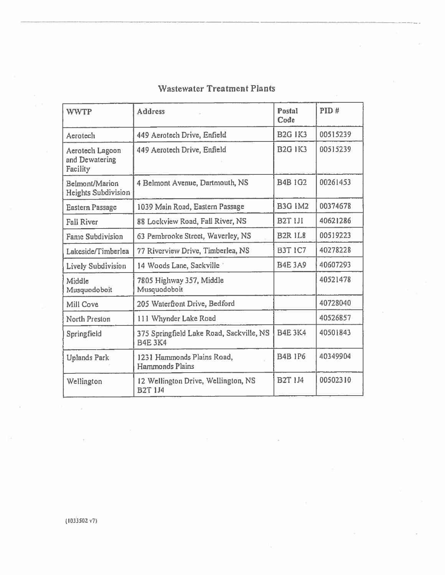| <b>WWTP</b>                                   | <b>Address</b>                                             | Postal<br>Code | PID#     |
|-----------------------------------------------|------------------------------------------------------------|----------------|----------|
| Aerotech                                      | 449 Aerotech Drive, Enfield                                | <b>B2G IK3</b> | 00515239 |
| Aerotech Lagoon<br>and Dewatering<br>Facility | 449 Aerotech Drive, Enfield                                | <b>B2G 1K3</b> | 00515239 |
| Belmont/Marion<br>Heights Subdivision         | 4 Belmont Avenue, Dartmouth, NS                            | <b>B4B 1G2</b> | 00261453 |
| <b>Eastern Passage</b>                        | 1039 Main Road, Eastern Passage                            | <b>B3G 1M2</b> | 00374678 |
| <b>Fall River</b>                             | 88 Lockview Road, Fall River, NS                           | <b>B2T 1J1</b> | 40621286 |
| <b>Fame Subdivision</b>                       | 63 Pembrooke Street, Waverley, NS                          | <b>B2R IL8</b> | 00519223 |
| Lakeside/Timberlea                            | 77 Riverview Drive, Timberlea, NS                          | <b>B3T 1C7</b> | 40278228 |
| Lively Subdivision                            | 14 Woods Lane, Sackville                                   | <b>B4E 3A9</b> | 40607293 |
| Middle<br>Musquodoboit                        | 7805 Highway 357, Middle<br>Musquodoboit                   |                | 40521478 |
| Mill Cove                                     | 205 Waterfront Drive, Bedford                              |                | 40728040 |
| North Preston                                 | 111 Whynder Lake Road                                      |                | 40526857 |
| Springfield                                   | 375 Springfield Lake Road, Sackville, NS<br><b>B4E 3K4</b> | <b>B4E 3K4</b> | 40501843 |
| <b>Uplands Park</b>                           | 1231 Hammonds Plains Road,<br>Hammonds Plains              | <b>B4B 1P6</b> | 40349904 |
| Wellington                                    | 12 Wellington Drive, Wellington, NS<br><b>B2T 1J4</b>      | <b>B2T 1J4</b> | 00502310 |

ä,

# **Wastewater Treatment Plants**

 $(1033502 \text{ v7})$ 

 $\tilde{\mathcal{F}}$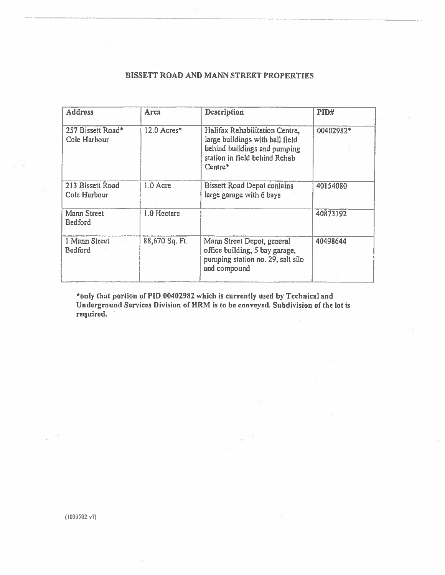### BISSETT ROAD AND MANN STREET PROPERTIES

| <b>Address</b>                    | Area           | Description                                                                                                                                   | PID#      |
|-----------------------------------|----------------|-----------------------------------------------------------------------------------------------------------------------------------------------|-----------|
| 257 Bissett Road*<br>Cole Harbour | 12.0 Acres*    | Halifax Rehabilitation Centre,<br>large buildings with ball field<br>behind buildings and pumping<br>station in field behind Rehab<br>Centre* | 00402982* |
| 213 Bissett Road<br>Cole Harbour  | 1.0 Acre       | <b>Bissett Road Depot contains</b><br>large garage with 6 bays                                                                                | 40154080  |
| Mann Street<br><b>Bedford</b>     | 1.0 Hectare    |                                                                                                                                               | 40873192  |
| 1 Mann Street<br>Bedford          | 88,670 Sq. Ft. | Mann Street Depot, general<br>office building, 5 bay garage,<br>pumping station no. 29, salt silo<br>and compound                             | 40498644  |

\*only that portion of PID 00402982 which is currently used by Technical and Underground Services Division of HRM is to be conveyed. Subdivision of the lot is required.

斎

 $(1033502 \text{ v7})$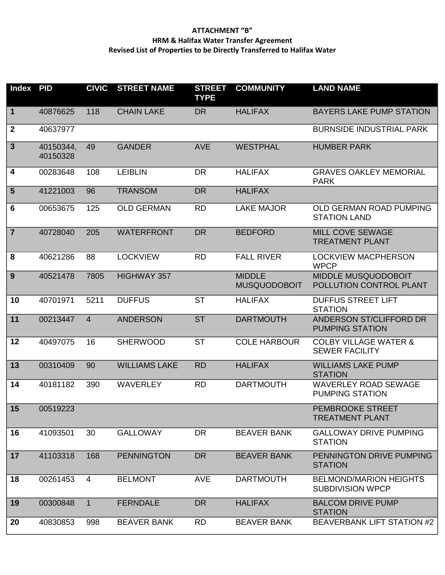### **ATTACHMENT "B" HRM & Halifax Water Transfer Agreement Revised List of Properties to be Directly Transferred to Halifax Water**

| <b>Index</b>     | <b>PID</b>            | <b>CIVIC</b>   | <b>STREET NAME</b>   | <b>STREET</b><br><b>TYPE</b> | <b>COMMUNITY</b>                     | <b>LAND NAME</b>                                          |
|------------------|-----------------------|----------------|----------------------|------------------------------|--------------------------------------|-----------------------------------------------------------|
| $\mathbf 1$      | 40876625              | 118            | <b>CHAIN LAKE</b>    | <b>DR</b>                    | <b>HALIFAX</b>                       | <b>BAYERS LAKE PUMP STATION</b>                           |
| $\boldsymbol{2}$ | 40637977              |                |                      |                              |                                      | <b>BURNSIDE INDUSTRIAL PARK</b>                           |
| $\mathbf{3}$     | 40150344,<br>40150328 | 49             | <b>GANDER</b>        | <b>AVE</b>                   | <b>WESTPHAL</b>                      | <b>HUMBER PARK</b>                                        |
| 4                | 00283648              | 108            | <b>LEIBLIN</b>       | <b>DR</b>                    | <b>HALIFAX</b>                       | <b>GRAVES OAKLEY MEMORIAL</b><br><b>PARK</b>              |
| $5\phantom{1}$   | 41221003              | 96             | <b>TRANSOM</b>       | <b>DR</b>                    | <b>HALIFAX</b>                       |                                                           |
| 6                | 00653675              | 125            | <b>OLD GERMAN</b>    | <b>RD</b>                    | <b>LAKE MAJOR</b>                    | OLD GERMAN ROAD PUMPING<br><b>STATION LAND</b>            |
| $\overline{7}$   | 40728040              | 205            | <b>WATERFRONT</b>    | <b>DR</b>                    | <b>BEDFORD</b>                       | MILL COVE SEWAGE<br><b>TREATMENT PLANT</b>                |
| 8                | 40621286              | 88             | <b>LOCKVIEW</b>      | <b>RD</b>                    | <b>FALL RIVER</b>                    | <b>LOCKVIEW MACPHERSON</b><br><b>WPCP</b>                 |
| 9                | 40521478              | 7805           | HIGHWAY 357          |                              | <b>MIDDLE</b><br><b>MUSQUODOBOIT</b> | <b>MIDDLE MUSQUODOBOIT</b><br>POLLUTION CONTROL PLANT     |
| 10               | 40701971              | 5211           | <b>DUFFUS</b>        | <b>ST</b>                    | <b>HALIFAX</b>                       | <b>DUFFUS STREET LIFT</b><br><b>STATION</b>               |
| 11               | 00213447              | $\overline{4}$ | <b>ANDERSON</b>      | <b>ST</b>                    | <b>DARTMOUTH</b>                     | ANDERSON ST/CLIFFORD DR<br><b>PUMPING STATION</b>         |
| 12               | 40497075              | 16             | <b>SHERWOOD</b>      | <b>ST</b>                    | <b>COLE HARBOUR</b>                  | <b>COLBY VILLAGE WATER &amp;</b><br><b>SEWER FACILITY</b> |
| 13               | 00310409              | 90             | <b>WILLIAMS LAKE</b> | <b>RD</b>                    | <b>HALIFAX</b>                       | <b>WILLIAMS LAKE PUMP</b><br><b>STATION</b>               |
| 14               | 40181182              | 390            | <b>WAVERLEY</b>      | <b>RD</b>                    | <b>DARTMOUTH</b>                     | <b>WAVERLEY ROAD SEWAGE</b><br><b>PUMPING STATION</b>     |
| $\sqrt{15}$      | 00519223              |                |                      |                              |                                      | PEMBROOKE STREET<br><b>TREATMENT PLANT</b>                |
| 16               | 41093501              | 30             | <b>GALLOWAY</b>      | <b>DR</b>                    | <b>BEAVER BANK</b>                   | <b>GALLOWAY DRIVE PUMPING</b><br><b>STATION</b>           |
| 17               | 41103318              | 168            | <b>PENNINGTON</b>    | <b>DR</b>                    | <b>BEAVER BANK</b>                   | PENNINGTON DRIVE PUMPING<br><b>STATION</b>                |
| 18               | 00261453              | 4              | <b>BELMONT</b>       | <b>AVE</b>                   | <b>DARTMOUTH</b>                     | <b>BELMOND/MARION HEIGHTS</b><br><b>SUBDIVISION WPCP</b>  |
| 19               | 00300848              | $\mathbf{1}$   | <b>FERNDALE</b>      | <b>DR</b>                    | <b>HALIFAX</b>                       | <b>BALCOM DRIVE PUMP</b><br><b>STATION</b>                |
| 20               | 40830853              | 998            | <b>BEAVER BANK</b>   | <b>RD</b>                    | <b>BEAVER BANK</b>                   | <b>BEAVERBANK LIFT STATION #2</b>                         |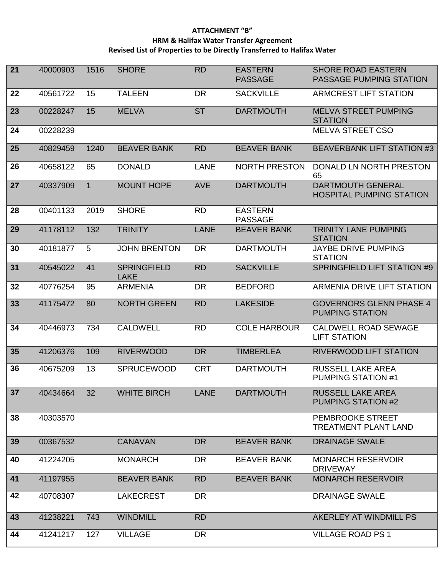### **ATTACHMENT "B" HRM & Halifax Water Transfer Agreement Revised List of Properties to be Directly Transferred to Halifax Water**

| 21 | 40000903 | 1516         | <b>SHORE</b>                      | <b>RD</b>   | <b>EASTERN</b><br><b>PASSAGE</b> | <b>SHORE ROAD EASTERN</b><br>PASSAGE PUMPING STATION        |
|----|----------|--------------|-----------------------------------|-------------|----------------------------------|-------------------------------------------------------------|
| 22 | 40561722 | 15           | <b>TALEEN</b>                     | <b>DR</b>   | <b>SACKVILLE</b>                 | <b>ARMCREST LIFT STATION</b>                                |
| 23 | 00228247 | 15           | <b>MELVA</b>                      | <b>ST</b>   | <b>DARTMOUTH</b>                 | <b>MELVA STREET PUMPING</b><br><b>STATION</b>               |
| 24 | 00228239 |              |                                   |             |                                  | <b>MELVA STREET CSO</b>                                     |
| 25 | 40829459 | 1240         | <b>BEAVER BANK</b>                | <b>RD</b>   | <b>BEAVER BANK</b>               | <b>BEAVERBANK LIFT STATION #3</b>                           |
| 26 | 40658122 | 65           | <b>DONALD</b>                     | <b>LANE</b> | <b>NORTH PRESTON</b>             | DONALD LN NORTH PRESTON<br>65                               |
| 27 | 40337909 | $\mathbf{1}$ | <b>MOUNT HOPE</b>                 | <b>AVE</b>  | <b>DARTMOUTH</b>                 | <b>DARTMOUTH GENERAL</b><br><b>HOSPITAL PUMPING STATION</b> |
| 28 | 00401133 | 2019         | <b>SHORE</b>                      | <b>RD</b>   | <b>EASTERN</b><br><b>PASSAGE</b> |                                                             |
| 29 | 41178112 | 132          | <b>TRINITY</b>                    | <b>LANE</b> | <b>BEAVER BANK</b>               | <b>TRINITY LANE PUMPING</b><br><b>STATION</b>               |
| 30 | 40181877 | 5            | <b>JOHN BRENTON</b>               | <b>DR</b>   | <b>DARTMOUTH</b>                 | <b>JAYBE DRIVE PUMPING</b><br><b>STATION</b>                |
| 31 | 40545022 | 41           | <b>SPRINGFIELD</b><br><b>LAKE</b> | <b>RD</b>   | <b>SACKVILLE</b>                 | SPRINGFIELD LIFT STATION #9                                 |
| 32 | 40776254 | 95           | <b>ARMENIA</b>                    | <b>DR</b>   | <b>BEDFORD</b>                   | <b>ARMENIA DRIVE LIFT STATION</b>                           |
| 33 | 41175472 | 80           | <b>NORTH GREEN</b>                | <b>RD</b>   | <b>LAKESIDE</b>                  | <b>GOVERNORS GLENN PHASE 4</b><br><b>PUMPING STATION</b>    |
| 34 | 40446973 | 734          | <b>CALDWELL</b>                   | <b>RD</b>   | <b>COLE HARBOUR</b>              | <b>CALDWELL ROAD SEWAGE</b><br><b>LIFT STATION</b>          |
| 35 | 41206376 | 109          | <b>RIVERWOOD</b>                  | <b>DR</b>   | <b>TIMBERLEA</b>                 | <b>RIVERWOOD LIFT STATION</b>                               |
| 36 | 40675209 | 13           | <b>SPRUCEWOOD</b>                 | <b>CRT</b>  | <b>DARTMOUTH</b>                 | RUSSELL LAKE AREA<br><b>PUMPING STATION #1</b>              |
| 37 | 40434664 | 32           | <b>WHITE BIRCH</b>                | <b>LANE</b> | <b>DARTMOUTH</b>                 | RUSSELL LAKE AREA<br><b>PUMPING STATION #2</b>              |
| 38 | 40303570 |              |                                   |             |                                  | PEMBROOKE STREET<br><b>TREATMENT PLANT LAND</b>             |
| 39 | 00367532 |              | <b>CANAVAN</b>                    | <b>DR</b>   | <b>BEAVER BANK</b>               | <b>DRAINAGE SWALE</b>                                       |
| 40 | 41224205 |              | <b>MONARCH</b>                    | <b>DR</b>   | <b>BEAVER BANK</b>               | <b>MONARCH RESERVOIR</b><br><b>DRIVEWAY</b>                 |
| 41 | 41197955 |              | <b>BEAVER BANK</b>                | <b>RD</b>   | <b>BEAVER BANK</b>               | <b>MONARCH RESERVOIR</b>                                    |
| 42 | 40708307 |              | <b>LAKECREST</b>                  | <b>DR</b>   |                                  | <b>DRAINAGE SWALE</b>                                       |
| 43 | 41238221 | 743          | <b>WINDMILL</b>                   | <b>RD</b>   |                                  | AKERLEY AT WINDMILL PS                                      |
| 44 | 41241217 | 127          | <b>VILLAGE</b>                    | <b>DR</b>   |                                  | <b>VILLAGE ROAD PS 1</b>                                    |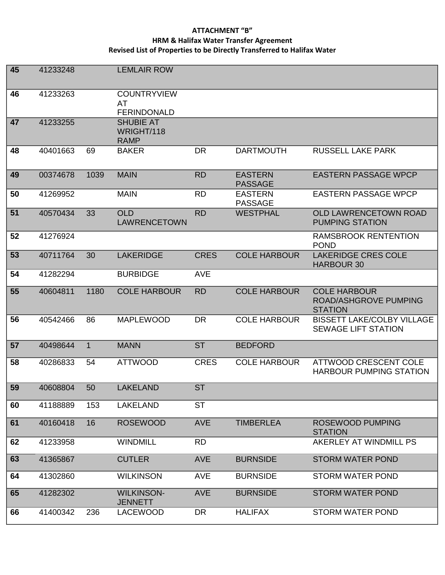### **ATTACHMENT "B" HRM & Halifax Water Transfer Agreement Revised List of Properties to be Directly Transferred to Halifax Water**

| 45 | 41233248 |              | <b>LEMLAIR ROW</b>                             |             |                                  |                                                                       |
|----|----------|--------------|------------------------------------------------|-------------|----------------------------------|-----------------------------------------------------------------------|
| 46 | 41233263 |              | <b>COUNTRYVIEW</b><br>AT<br><b>FERINDONALD</b> |             |                                  |                                                                       |
| 47 | 41233255 |              | <b>SHUBIE AT</b><br>WRIGHT/118<br><b>RAMP</b>  |             |                                  |                                                                       |
| 48 | 40401663 | 69           | <b>BAKER</b>                                   | <b>DR</b>   | <b>DARTMOUTH</b>                 | <b>RUSSELL LAKE PARK</b>                                              |
| 49 | 00374678 | 1039         | <b>MAIN</b>                                    | <b>RD</b>   | <b>EASTERN</b><br><b>PASSAGE</b> | <b>EASTERN PASSAGE WPCP</b>                                           |
| 50 | 41269952 |              | <b>MAIN</b>                                    | <b>RD</b>   | <b>EASTERN</b><br><b>PASSAGE</b> | <b>EASTERN PASSAGE WPCP</b>                                           |
| 51 | 40570434 | 33           | <b>OLD</b><br><b>LAWRENCETOWN</b>              | <b>RD</b>   | <b>WESTPHAL</b>                  | <b>OLD LAWRENCETOWN ROAD</b><br><b>PUMPING STATION</b>                |
| 52 | 41276924 |              |                                                |             |                                  | <b>RAMSBROOK RENTENTION</b><br><b>POND</b>                            |
| 53 | 40711764 | 30           | <b>LAKERIDGE</b>                               | <b>CRES</b> | <b>COLE HARBOUR</b>              | <b>LAKERIDGE CRES COLE</b><br><b>HARBOUR 30</b>                       |
| 54 | 41282294 |              | <b>BURBIDGE</b>                                | <b>AVE</b>  |                                  |                                                                       |
| 55 | 40604811 | 1180         | <b>COLE HARBOUR</b>                            | <b>RD</b>   | <b>COLE HARBOUR</b>              | <b>COLE HARBOUR</b><br><b>ROAD/ASHGROVE PUMPING</b><br><b>STATION</b> |
| 56 | 40542466 | 86           | <b>MAPLEWOOD</b>                               | <b>DR</b>   | <b>COLE HARBOUR</b>              | <b>BISSETT LAKE/COLBY VILLAGE</b><br><b>SEWAGE LIFT STATION</b>       |
| 57 | 40498644 | $\mathbf{1}$ | <b>MANN</b>                                    | <b>ST</b>   | <b>BEDFORD</b>                   |                                                                       |
| 58 | 40286833 | 54           | <b>ATTWOOD</b>                                 | <b>CRES</b> | <b>COLE HARBOUR</b>              | ATTWOOD CRESCENT COLE<br><b>HARBOUR PUMPING STATION</b>               |
| 59 | 40608804 | 50           | <b>LAKELAND</b>                                | ST          |                                  |                                                                       |
| 60 | 41188889 | 153          | <b>LAKELAND</b>                                | <b>ST</b>   |                                  |                                                                       |
| 61 | 40160418 | 16           | <b>ROSEWOOD</b>                                | <b>AVE</b>  | <b>TIMBERLEA</b>                 | <b>ROSEWOOD PUMPING</b><br><b>STATION</b>                             |
| 62 | 41233958 |              | <b>WINDMILL</b>                                | <b>RD</b>   |                                  | AKERLEY AT WINDMILL PS                                                |
| 63 | 41365867 |              | <b>CUTLER</b>                                  | <b>AVE</b>  | <b>BURNSIDE</b>                  | <b>STORM WATER POND</b>                                               |
| 64 | 41302860 |              | <b>WILKINSON</b>                               | <b>AVE</b>  | <b>BURNSIDE</b>                  | <b>STORM WATER POND</b>                                               |
| 65 | 41282302 |              | <b>WILKINSON-</b><br><b>JENNETT</b>            | <b>AVE</b>  | <b>BURNSIDE</b>                  | <b>STORM WATER POND</b>                                               |
| 66 | 41400342 | 236          | <b>LACEWOOD</b>                                | DR          | <b>HALIFAX</b>                   | <b>STORM WATER POND</b>                                               |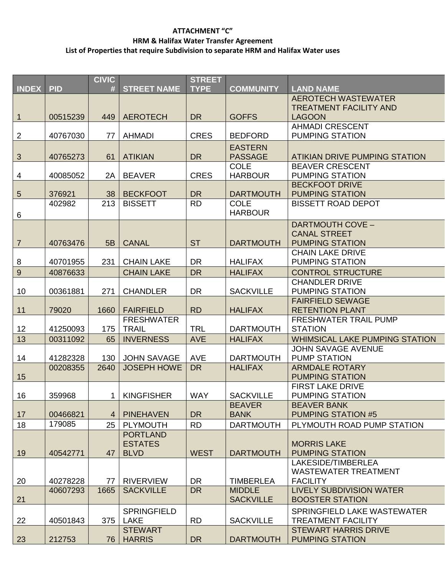### **ATTACHMENT "C" HRM & Halifax Water Transfer Agreement List of Properties that require Subdivision to separate HRM and Halifax Water uses**

|                  |            | <b>CIVIC</b>   |                    | <b>STREET</b> |                  |                                                   |
|------------------|------------|----------------|--------------------|---------------|------------------|---------------------------------------------------|
| <b>INDEX</b>     | <b>PID</b> | #              | <b>STREET NAME</b> | <b>TYPE</b>   | <b>COMMUNITY</b> | <b>LAND NAME</b>                                  |
|                  |            |                |                    |               |                  | <b>AEROTECH WASTEWATER</b>                        |
|                  |            |                |                    |               |                  | <b>TREATMENT FACILITY AND</b>                     |
| $\mathbf{1}$     | 00515239   | 449            | <b>AEROTECH</b>    | <b>DR</b>     | <b>GOFFS</b>     | <b>LAGOON</b>                                     |
|                  |            |                |                    |               |                  | <b>AHMADI CRESCENT</b>                            |
| $\sqrt{2}$       | 40767030   | 77             | <b>AHMADI</b>      | <b>CRES</b>   | <b>BEDFORD</b>   | <b>PUMPING STATION</b>                            |
|                  |            |                |                    |               | <b>EASTERN</b>   |                                                   |
| $\sqrt{3}$       | 40765273   | 61             | <b>ATIKIAN</b>     | <b>DR</b>     | <b>PASSAGE</b>   | <b>ATIKIAN DRIVE PUMPING STATION</b>              |
|                  |            |                |                    |               | <b>COLE</b>      | <b>BEAVER CRESCENT</b>                            |
| 4                | 40085052   | 2A             | <b>BEAVER</b>      | <b>CRES</b>   | <b>HARBOUR</b>   | <b>PUMPING STATION</b>                            |
|                  |            |                |                    |               |                  | <b>BECKFOOT DRIVE</b>                             |
| $\overline{5}$   | 376921     | 38             | <b>BECKFOOT</b>    | <b>DR</b>     | <b>DARTMOUTH</b> | <b>PUMPING STATION</b>                            |
|                  | 402982     | 213            | <b>BISSETT</b>     | <b>RD</b>     | <b>COLE</b>      | <b>BISSETT ROAD DEPOT</b>                         |
| 6                |            |                |                    |               | <b>HARBOUR</b>   |                                                   |
|                  |            |                |                    |               |                  | DARTMOUTH COVE -                                  |
|                  |            |                |                    |               |                  | <b>CANAL STREET</b>                               |
| $\overline{7}$   | 40763476   | 5B             | <b>CANAL</b>       | <b>ST</b>     | <b>DARTMOUTH</b> | <b>PUMPING STATION</b>                            |
|                  |            |                |                    |               |                  | <b>CHAIN LAKE DRIVE</b>                           |
| 8                | 40701955   | 231            | <b>CHAIN LAKE</b>  | <b>DR</b>     | <b>HALIFAX</b>   | <b>PUMPING STATION</b>                            |
| $\boldsymbol{9}$ | 40876633   |                | <b>CHAIN LAKE</b>  | <b>DR</b>     | <b>HALIFAX</b>   | <b>CONTROL STRUCTURE</b>                          |
|                  |            |                |                    |               |                  | <b>CHANDLER DRIVE</b>                             |
| 10               | 00361881   | 271            | <b>CHANDLER</b>    | <b>DR</b>     | <b>SACKVILLE</b> | <b>PUMPING STATION</b>                            |
|                  |            |                |                    |               |                  | <b>FAIRFIELD SEWAGE</b>                           |
| 11               | 79020      | 1660           | <b>FAIRFIELD</b>   | <b>RD</b>     | <b>HALIFAX</b>   | <b>RETENTION PLANT</b>                            |
|                  |            |                | <b>FRESHWATER</b>  |               |                  | <b>FRESHWATER TRAIL PUMP</b>                      |
| 12               | 41250093   | 175            | <b>TRAIL</b>       | <b>TRL</b>    | <b>DARTMOUTH</b> | <b>STATION</b>                                    |
| 13               | 00311092   | 65             | <b>INVERNESS</b>   | <b>AVE</b>    | <b>HALIFAX</b>   | <b>WHIMSICAL LAKE PUMPING STATION</b>             |
|                  |            |                |                    |               |                  | <b>JOHN SAVAGE AVENUE</b>                         |
| 14               | 41282328   | 130            | <b>JOHN SAVAGE</b> | <b>AVE</b>    | <b>DARTMOUTH</b> | <b>PUMP STATION</b>                               |
|                  | 00208355   | 2640           | <b>JOSEPH HOWE</b> | <b>DR</b>     | <b>HALIFAX</b>   | <b>ARMDALE ROTARY</b>                             |
| 15               |            |                |                    |               |                  | <b>PUMPING STATION</b>                            |
| 16               | 359968     | 1              | <b>KINGFISHER</b>  | <b>WAY</b>    | <b>SACKVILLE</b> | <b>FIRST LAKE DRIVE</b><br><b>PUMPING STATION</b> |
|                  |            |                |                    |               | <b>BEAVER</b>    | <b>BEAVER BANK</b>                                |
| 17               | 00466821   | $\overline{4}$ | <b>PINEHAVEN</b>   | <b>DR</b>     | <b>BANK</b>      | <b>PUMPING STATION #5</b>                         |
| 18               | 179085     | 25             | <b>PLYMOUTH</b>    | <b>RD</b>     | <b>DARTMOUTH</b> | PLYMOUTH ROAD PUMP STATION                        |
|                  |            |                | <b>PORTLAND</b>    |               |                  |                                                   |
|                  |            |                | <b>ESTATES</b>     |               |                  | <b>MORRIS LAKE</b>                                |
| 19               | 40542771   | 47             | <b>BLVD</b>        | <b>WEST</b>   | <b>DARTMOUTH</b> | <b>PUMPING STATION</b>                            |
|                  |            |                |                    |               |                  | LAKESIDE/TIMBERLEA                                |
|                  |            |                |                    |               |                  | <b>WASTEWATER TREATMENT</b>                       |
| 20               | 40278228   | 77             | <b>RIVERVIEW</b>   | <b>DR</b>     | <b>TIMBERLEA</b> | <b>FACILITY</b>                                   |
|                  | 40607293   | 1665           | <b>SACKVILLE</b>   | <b>DR</b>     | <b>MIDDLE</b>    | <b>LIVELY SUBDIVISION WATER</b>                   |
| 21               |            |                |                    |               | <b>SACKVILLE</b> | <b>BOOSTER STATION</b>                            |
|                  |            |                | <b>SPRINGFIELD</b> |               |                  | SPRINGFIELD LAKE WASTEWATER                       |
| 22               | 40501843   | 375            | LAKE               | <b>RD</b>     | <b>SACKVILLE</b> | <b>TREATMENT FACILITY</b>                         |
|                  |            |                | <b>STEWART</b>     |               |                  | <b>STEWART HARRIS DRIVE</b>                       |
| 23               | 212753     | 76             | <b>HARRIS</b>      | <b>DR</b>     | <b>DARTMOUTH</b> | <b>PUMPING STATION</b>                            |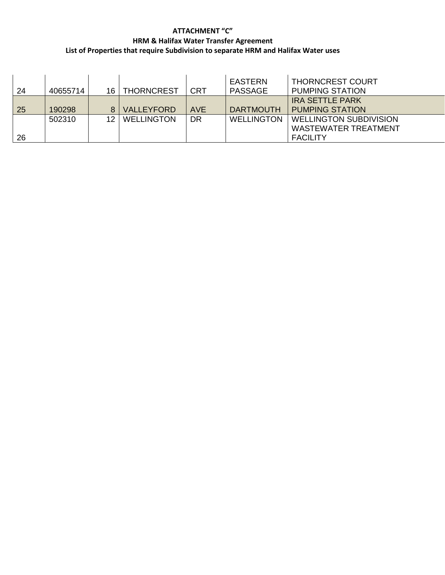### **ATTACHMENT "C" HRM & Halifax Water Transfer Agreement List of Properties that require Subdivision to separate HRM and Halifax Water uses**

| 24 | 40655714 |                 | 16   THORNCREST   | <b>CRT</b> | EASTERN<br>PASSAGE | <b>THORNCREST COURT</b><br><b>PUMPING STATION</b>                               |
|----|----------|-----------------|-------------------|------------|--------------------|---------------------------------------------------------------------------------|
| 25 | 190298   |                 | <b>VALLEYFORD</b> | <b>AVE</b> | <b>DARTMOUTH</b>   | <b>IRA SETTLE PARK</b><br><b>PUMPING STATION</b>                                |
| 26 | 502310   | 12 <sub>1</sub> | <b>WELLINGTON</b> | <b>DR</b>  | <b>WELLINGTON</b>  | <b>WELLINGTON SUBDIVISION</b><br><b>WASTEWATER TREATMENT</b><br><b>FACILITY</b> |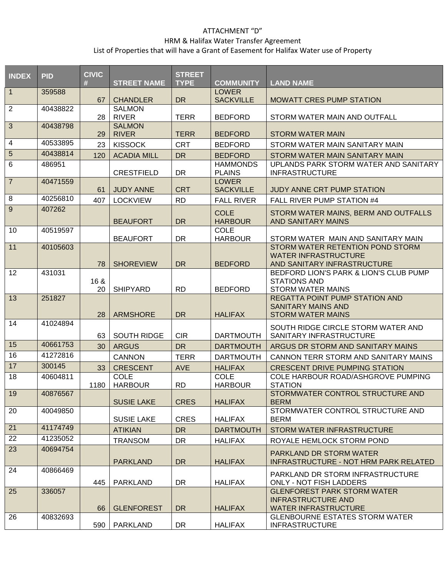# ATTACHMENT "D"

# HRM & Halifax Water Transfer Agreement

### List of Properties that will have a Grant of Easement for Halifax Water use of Property

| <b>INDEX</b>            | <b>PID</b> | <b>CIVIC</b><br># | <b>STREET NAME</b>            | <b>STREET</b><br><b>TYPE</b> | <b>COMMUNITY</b>                 | <b>LAND NAME</b>                                                                               |
|-------------------------|------------|-------------------|-------------------------------|------------------------------|----------------------------------|------------------------------------------------------------------------------------------------|
| $\overline{1}$          | 359588     | 67                | <b>CHANDLER</b>               | <b>DR</b>                    | <b>LOWER</b><br><b>SACKVILLE</b> | <b>MOWATT CRES PUMP STATION</b>                                                                |
| $\overline{2}$          | 40438822   | 28                | <b>SALMON</b><br><b>RIVER</b> | <b>TERR</b>                  | <b>BEDFORD</b>                   | STORM WATER MAIN AND OUTFALL                                                                   |
| $\mathfrak{S}$          | 40438798   | 29                | <b>SALMON</b><br><b>RIVER</b> | <b>TERR</b>                  | <b>BEDFORD</b>                   | <b>STORM WATER MAIN</b>                                                                        |
| $\overline{\mathbf{4}}$ | 40533895   | 23                | <b>KISSOCK</b>                | <b>CRT</b>                   | <b>BEDFORD</b>                   | STORM WATER MAIN SANITARY MAIN                                                                 |
| $5\phantom{.}$          | 40438814   | 120               | <b>ACADIA MILL</b>            | <b>DR</b>                    | <b>BEDFORD</b>                   | STORM WATER MAIN SANITARY MAIN                                                                 |
| $\,6$                   | 486951     |                   | <b>CRESTFIELD</b>             | <b>DR</b>                    | <b>HAMMONDS</b><br><b>PLAINS</b> | UPLANDS PARK STORM WATER AND SANITARY<br><b>INFRASTRUCTURE</b>                                 |
| $\overline{7}$          | 40471559   | 61                | <b>JUDY ANNE</b>              | <b>CRT</b>                   | <b>LOWER</b><br><b>SACKVILLE</b> | <b>JUDY ANNE CRT PUMP STATION</b>                                                              |
| 8                       | 40256810   | 407               | <b>LOCKVIEW</b>               | <b>RD</b>                    | <b>FALL RIVER</b>                | FALL RIVER PUMP STATION #4                                                                     |
| $\boldsymbol{9}$        | 407262     |                   | <b>BEAUFORT</b>               | <b>DR</b>                    | <b>COLE</b><br><b>HARBOUR</b>    | STORM WATER MAINS, BERM AND OUTFALLS<br><b>AND SANITARY MAINS</b>                              |
| 10                      | 40519597   |                   | <b>BEAUFORT</b>               | <b>DR</b>                    | <b>COLE</b><br><b>HARBOUR</b>    | STORM WATER MAIN AND SANITARY MAIN                                                             |
| 11                      | 40105603   | 78                | <b>SHOREVIEW</b>              | <b>DR</b>                    | <b>BEDFORD</b>                   | STORM WATER RETENTION POND STORM<br><b>WATER INFRASTRUCTURE</b><br>AND SANITARY INFRASTRUCTURE |
| 12                      | 431031     | 16 &<br>20        | <b>SHIPYARD</b>               | <b>RD</b>                    | <b>BEDFORD</b>                   | BEDFORD LION'S PARK & LION'S CLUB PUMP<br><b>STATIONS AND</b><br><b>STORM WATER MAINS</b>      |
| 13                      | 251827     | 28                | <b>ARMSHORE</b>               | <b>DR</b>                    | <b>HALIFAX</b>                   | <b>REGATTA POINT PUMP STATION AND</b><br><b>SANITARY MAINS AND</b><br><b>STORM WATER MAINS</b> |
| 14                      | 41024894   | 63                | <b>SOUTH RIDGE</b>            | <b>CIR</b>                   | <b>DARTMOUTH</b>                 | SOUTH RIDGE CIRCLE STORM WATER AND<br>SANITARY INFRASTRUCTURE                                  |
| 15                      | 40661753   | 30                | <b>ARGUS</b>                  | <b>DR</b>                    | <b>DARTMOUTH</b>                 | ARGUS DR STORM AND SANITARY MAINS                                                              |
| 16                      | 41272816   |                   | <b>CANNON</b>                 | <b>TERR</b>                  | <b>DARTMOUTH</b>                 | CANNON TERR STORM AND SANITARY MAINS                                                           |
| 17                      | 300145     | 33                | <b>CRESCENT</b>               | <b>AVE</b>                   | <b>HALIFAX</b>                   | <b>CRESCENT DRIVE PUMPING STATION</b>                                                          |
| 18                      | 40604811   | 1180              | <b>COLE</b><br><b>HARBOUR</b> | <b>RD</b>                    | <b>COLE</b><br><b>HARBOUR</b>    | COLE HARBOUR ROAD/ASHGROVE PUMPING<br><b>STATION</b>                                           |
| 19                      | 40876567   |                   | <b>SUSIE LAKE</b>             | <b>CRES</b>                  | <b>HALIFAX</b>                   | STORMWATER CONTROL STRUCTURE AND<br><b>BERM</b>                                                |
| 20                      | 40049850   |                   | <b>SUSIE LAKE</b>             | <b>CRES</b>                  | <b>HALIFAX</b>                   | STORMWATER CONTROL STRUCTURE AND<br><b>BERM</b>                                                |
| 21                      | 41174749   |                   | <b>ATIKIAN</b>                | <b>DR</b>                    | <b>DARTMOUTH</b>                 | STORM WATER INFRASTRUCTURE                                                                     |
| 22                      | 41235052   |                   | <b>TRANSOM</b>                | <b>DR</b>                    | <b>HALIFAX</b>                   | ROYALE HEMLOCK STORM POND                                                                      |
| 23                      | 40694754   |                   | <b>PARKLAND</b>               | DR.                          | <b>HALIFAX</b>                   | PARKLAND DR STORM WATER<br><b>INFRASTRUCTURE - NOT HRM PARK RELATED</b>                        |
| 24                      | 40866469   | 445               | PARKLAND                      | <b>DR</b>                    | <b>HALIFAX</b>                   | PARKLAND DR STORM INFRASTRUCTURE<br><b>ONLY - NOT FISH LADDERS</b>                             |
| 25                      | 336057     | 66                | <b>GLENFOREST</b>             | <b>DR</b>                    | <b>HALIFAX</b>                   | <b>GLENFOREST PARK STORM WATER</b><br><b>INFRASTRUCTURE AND</b><br><b>WATER INFRASTRUCTURE</b> |
| 26                      | 40832693   | 590               | PARKLAND                      | <b>DR</b>                    | <b>HALIFAX</b>                   | <b>GLENBOURNE ESTATES STORM WATER</b><br><b>INFRASTRUCTURE</b>                                 |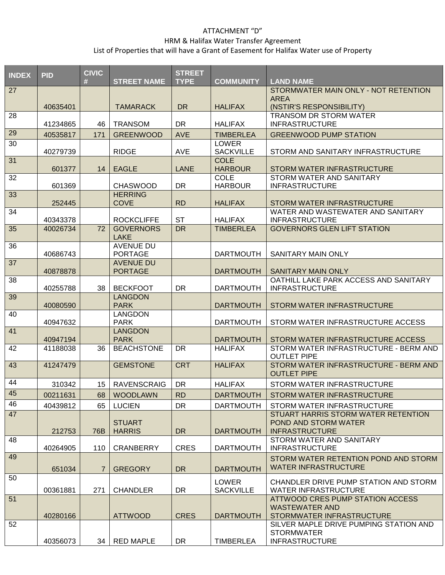# ATTACHMENT "D"

### HRM & Halifax Water Transfer Agreement

List of Properties that will have a Grant of Easement for Halifax Water use of Property

| <b>INDEX</b> | <b>PID</b> | <b>CIVIC</b>    |                                | <b>STREET</b> |                                  |                                                                      |
|--------------|------------|-----------------|--------------------------------|---------------|----------------------------------|----------------------------------------------------------------------|
|              |            | #               | <b>STREET NAME</b>             | <b>TYPE</b>   | <b>COMMUNITY</b>                 | <b>LAND NAME</b>                                                     |
| 27           |            |                 |                                |               |                                  | STORMWATER MAIN ONLY - NOT RETENTION<br><b>AREA</b>                  |
|              | 40635401   |                 | <b>TAMARACK</b>                | <b>DR</b>     | <b>HALIFAX</b>                   | (NSTIR'S RESPONSIBILITY)                                             |
| 28           |            |                 |                                |               |                                  | <b>TRANSOM DR STORM WATER</b>                                        |
|              | 41234865   | 46              | <b>TRANSOM</b>                 | <b>DR</b>     | <b>HALIFAX</b>                   | <b>INFRASTRUCTURE</b>                                                |
| 29           | 40535817   | 171             | <b>GREENWOOD</b>               | <b>AVE</b>    | <b>TIMBERLEA</b>                 | <b>GREENWOOD PUMP STATION</b>                                        |
| 30           |            |                 |                                |               | <b>LOWER</b>                     |                                                                      |
|              | 40279739   |                 | <b>RIDGE</b>                   | <b>AVE</b>    | <b>SACKVILLE</b>                 | STORM AND SANITARY INFRASTRUCTURE                                    |
| 31           | 601377     | 14              | <b>EAGLE</b>                   | <b>LANE</b>   | <b>COLE</b><br><b>HARBOUR</b>    | STORM WATER INFRASTRUCTURE                                           |
| 32           |            |                 |                                |               | <b>COLE</b>                      | STORM WATER AND SANITARY                                             |
|              | 601369     |                 | <b>CHASWOOD</b>                | DR.           | <b>HARBOUR</b>                   | <b>INFRASTRUCTURE</b>                                                |
| 33           |            |                 | <b>HERRING</b>                 |               |                                  |                                                                      |
|              | 252445     |                 | <b>COVE</b>                    | <b>RD</b>     | <b>HALIFAX</b>                   | STORM WATER INFRASTRUCTURE                                           |
| 34           | 40343378   |                 | <b>ROCKCLIFFE</b>              | <b>ST</b>     | <b>HALIFAX</b>                   | WATER AND WASTEWATER AND SANITARY<br><b>INFRASTRUCTURE</b>           |
| 35           | 40026734   | 72              | <b>GOVERNORS</b>               | <b>DR</b>     | <b>TIMBERLEA</b>                 | <b>GOVERNORS GLEN LIFT STATION</b>                                   |
|              |            |                 | <b>LAKE</b>                    |               |                                  |                                                                      |
| 36           |            |                 | AVENUE DU                      |               |                                  |                                                                      |
|              | 40686743   |                 | <b>PORTAGE</b>                 |               | <b>DARTMOUTH</b>                 | SANITARY MAIN ONLY                                                   |
| 37           |            |                 | <b>AVENUE DU</b>               |               |                                  |                                                                      |
| 38           | 40878878   |                 | <b>PORTAGE</b>                 |               | <b>DARTMOUTH</b>                 | <b>SANITARY MAIN ONLY</b><br>OATHILL LAKE PARK ACCESS AND SANITARY   |
|              | 40255788   | 38              | <b>BECKFOOT</b>                | <b>DR</b>     | <b>DARTMOUTH</b>                 | <b>INFRASTRUCTURE</b>                                                |
| 39           |            |                 | <b>LANGDON</b>                 |               |                                  |                                                                      |
|              | 40080590   |                 | <b>PARK</b>                    |               | <b>DARTMOUTH</b>                 | STORM WATER INFRASTRUCTURE                                           |
| 40           |            |                 | <b>LANGDON</b>                 |               |                                  |                                                                      |
|              | 40947632   |                 | <b>PARK</b>                    |               | <b>DARTMOUTH</b>                 | STORM WATER INFRASTRUCTURE ACCESS                                    |
| 41           | 40947194   |                 | <b>LANGDON</b><br><b>PARK</b>  |               | <b>DARTMOUTH</b>                 | STORM WATER INFRASTRUCTURE ACCESS                                    |
| 42           | 41188038   | 36              | <b>BEACHSTONE</b>              | <b>DR</b>     | <b>HALIFAX</b>                   | STORM WATER INFRASTRUCTURE - BERM AND                                |
|              |            |                 |                                |               |                                  | <b>OUTLET PIPE</b>                                                   |
| 43           | 41247479   |                 | <b>GEMSTONE</b>                | <b>CRT</b>    | <b>HALIFAX</b>                   | STORM WATER INFRASTRUCTURE - BERM AND                                |
|              |            |                 |                                |               |                                  | <b>OUTLET PIPE</b>                                                   |
| 44           | 310342     | 15 <sub>1</sub> | <b>RAVENSCRAIG</b>             | <b>DR</b>     | <b>HALIFAX</b>                   | STORM WATER INFRASTRUCTURE                                           |
| 45           | 00211631   | 68              | <b>WOODLAWN</b>                | RD            | <b>DARTMOUTH</b>                 | STORM WATER INFRASTRUCTURE                                           |
| 46           | 40439812   | 65              | <b>LUCIEN</b>                  | <b>DR</b>     | <b>DARTMOUTH</b>                 | STORM WATER INFRASTRUCTURE                                           |
| 47           |            |                 |                                |               |                                  | STUART HARRIS STORM WATER RETENTION                                  |
|              | 212753     | 76B             | <b>STUART</b><br><b>HARRIS</b> | <b>DR</b>     | <b>DARTMOUTH</b>                 | POND AND STORM WATER<br><b>INFRASTRUCTURE</b>                        |
| 48           |            |                 |                                |               |                                  | STORM WATER AND SANITARY                                             |
|              | 40264905   | 110             | <b>CRANBERRY</b>               | <b>CRES</b>   | <b>DARTMOUTH</b>                 | <b>INFRASTRUCTURE</b>                                                |
| 49           |            |                 |                                |               |                                  | STORM WATER RETENTION POND AND STORM                                 |
|              | 651034     | 7               | <b>GREGORY</b>                 | <b>DR</b>     | <b>DARTMOUTH</b>                 | <b>WATER INFRASTRUCTURE</b>                                          |
| 50           |            |                 |                                |               |                                  |                                                                      |
|              | 00361881   | 271             | <b>CHANDLER</b>                | DR.           | <b>LOWER</b><br><b>SACKVILLE</b> | CHANDLER DRIVE PUMP STATION AND STORM<br><b>WATER INFRASTRUCTURE</b> |
| 51           |            |                 |                                |               |                                  | ATTWOOD CRES PUMP STATION ACCESS                                     |
|              |            |                 |                                |               |                                  | <b>WASTEWATER AND</b>                                                |
|              | 40280166   |                 | <b>ATTWOOD</b>                 | <b>CRES</b>   | <b>DARTMOUTH</b>                 | STORMWATER INFRASTRUCTURE                                            |
| 52           |            |                 |                                |               |                                  | SILVER MAPLE DRIVE PUMPING STATION AND                               |
|              | 40356073   | 34              | <b>RED MAPLE</b>               | <b>DR</b>     | <b>TIMBERLEA</b>                 | <b>STORMWATER</b><br><b>INFRASTRUCTURE</b>                           |
|              |            |                 |                                |               |                                  |                                                                      |